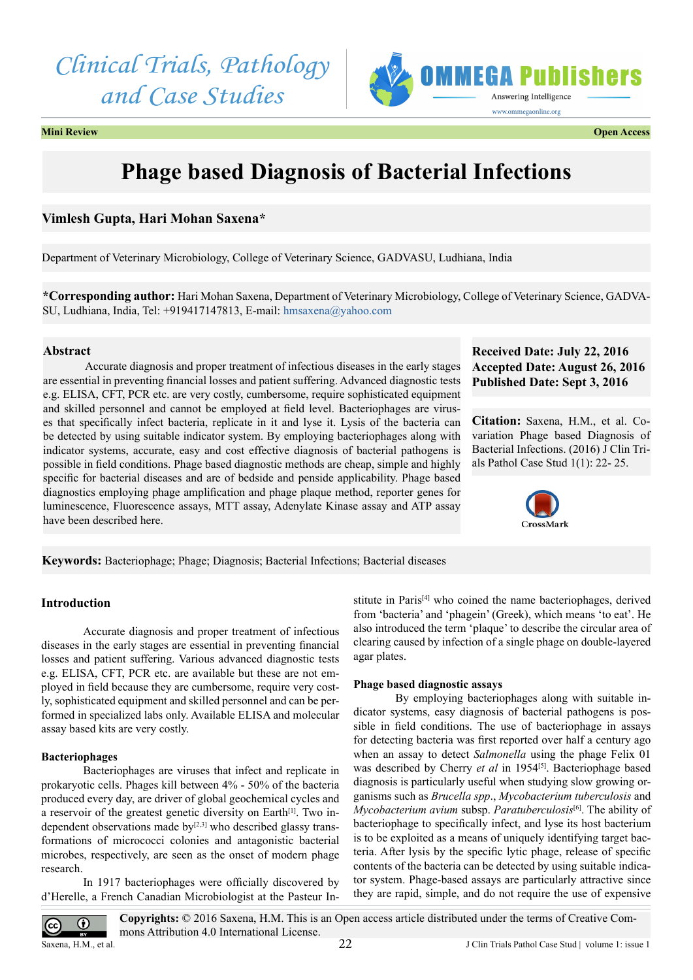*Clinical Trials, Pathology and Case Studies*



#### **Mini Review Open Access**

# **Phage based Diagnosis of Bacterial Infections**

## **Vimlesh Gupta, Hari Mohan Saxena\***

Department of Veterinary Microbiology, College of Veterinary Science, GADVASU, Ludhiana, India

**\*Corresponding author:** Hari Mohan Saxena, Department of Veterinary Microbiology, College of Veterinary Science, GADVA-SU, Ludhiana, India, Tel: +919417147813, E-mail: [hmsaxena@yahoo.com](mailto:hmsaxena@yahoo.com)

#### **Abstract**

Accurate diagnosis and proper treatment of infectious diseases in the early stages are essential in preventing financial losses and patient suffering. Advanced diagnostic tests e.g. ELISA, CFT, PCR etc. are very costly, cumbersome, require sophisticated equipment and skilled personnel and cannot be employed at field level. Bacteriophages are viruses that specifically infect bacteria, replicate in it and lyse it. Lysis of the bacteria can be detected by using suitable indicator system. By employing bacteriophages along with indicator systems, accurate, easy and cost effective diagnosis of bacterial pathogens is possible in field conditions. Phage based diagnostic methods are cheap, simple and highly specific for bacterial diseases and are of bedside and penside applicability. Phage based diagnostics employing phage amplification and phage plaque method, reporter genes for luminescence, Fluorescence assays, MTT assay, Adenylate Kinase assay and ATP assay have been described here.

## **Received Date: July 22, 2016 Accepted Date: August 26, 2016 Published Date: Sept 3, 2016**

**Citation:** Saxena, H.M., et al. Covariation Phage based Diagnosis of Bacterial Infections. (2016) J Clin Trials Pathol Case Stud 1(1): 22- 25.



**Keywords:** Bacteriophage; Phage; Diagnosis; Bacterial Infections; Bacterial diseases

#### **Introduction**

Accurate diagnosis and proper treatment of infectious diseases in the early stages are essential in preventing financial losses and patient suffering. Various advanced diagnostic tests e.g. ELISA, CFT, PCR etc. are available but these are not employed in field because they are cumbersome, require very costly, sophisticated equipment and skilled personnel and can be performed in specialized labs only. Available ELISA and molecular assay based kits are very costly.

#### **Bacteriophages**

Bacteriophages are viruses that infect and replicate in prokaryotic cells. Phages kill between 4% - 50% of the bacteria produced every day, are driver of global geochemical cycles and a reservoir of the greatest genetic diversity on Earth<sup>[\[1\]](#page-2-0)</sup>. Two independent observations made  $by^{[2,3]}$  who described glassy transformations of micrococci colonies and antagonistic bacterial microbes, respectively, are seen as the onset of modern phage research.

In 1917 bacteriophages were officially discovered by d'Herelle, a French Canadian Microbiologist at the Pasteur Institute in Paris[\[4\]](#page-2-2) who coined the name bacteriophages, derived from 'bacteria' and 'phagein' (Greek), which means 'to eat'. He also introduced the term 'plaque' to describe the circular area of clearing caused by infection of a single phage on double-layered agar plates.

#### **Phage based diagnostic assays**

By employing bacteriophages along with suitable indicator systems, easy diagnosis of bacterial pathogens is possible in field conditions. The use of bacteriophage in assays for detecting bacteria was first reported over half a century ago when an assay to detect *Salmonella* using the phage Felix 01 was described by Cherry *et al* in 1954<sup>[\[5\]](#page-2-3)</sup>. Bacteriophage based diagnosis is particularly useful when studying slow growing organisms such as *Brucella spp*., *Mycobacterium tuberculosis* and *Mycobacterium avium* subsp. *Paratuberculosis*[\[6\].](#page-2-4) The ability of bacteriophage to specifically infect, and lyse its host bacterium is to be exploited as a means of uniquely identifying target bacteria. After lysis by the specific lytic phage, release of specific contents of the bacteria can be detected by using suitable indicator system. Phage-based assays are particularly attractive since they are rapid, simple, and do not require the use of expensive

**Copyrights:** © 2016 Saxena, H.M. This is an Open access article distributed under the terms of Creative Com- $\odot$ mons Attribution 4.0 International License. Saxena, H.M., et al.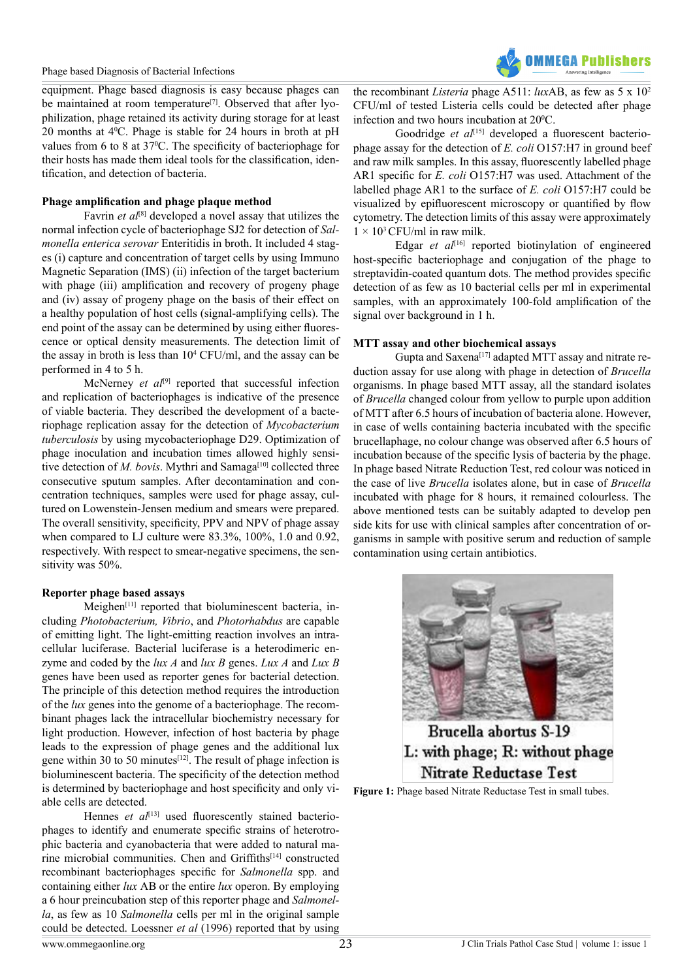#### Phage based Diagnosis of Bacterial Infections

equipment. Phage based diagnosis is easy because phages can be maintained at room temperature<sup>[7]</sup>. Observed that after lyophilization, phage retained its activity during storage for at least 20 months at  $4^{\circ}$ C. Phage is stable for 24 hours in broth at pH values from 6 to 8 at 37<sup>o</sup>C. The specificity of bacteriophage for their hosts has made them ideal tools for the classification, identification, and detection of bacteria.

#### **Phage amplification and phage plaque method**

Favrin *et al*<sup>[\[8\]](#page-2-6)</sup> developed a novel assay that utilizes the normal infection cycle of bacteriophage SJ2 for detection of *Salmonella enterica serovar* Enteritidis in broth. It included 4 stages (i) capture and concentration of target cells by using Immuno Magnetic Separation (IMS) (ii) infection of the target bacterium with phage (iii) amplification and recovery of progeny phage and (iv) assay of progeny phage on the basis of their effect on a healthy population of host cells (signal-amplifying cells). The end point of the assay can be determined by using either fluorescence or optical density measurements. The detection limit of the assay in broth is less than  $10^4$  CFU/ml, and the assay can be performed in 4 to 5 h.

McNerney *et al*<sup>[\[9\]](#page-2-7)</sup> reported that successful infection and replication of bacteriophages is indicative of the presence of viable bacteria. They described the development of a bacteriophage replication assay for the detection of *Mycobacterium tuberculosis* by using mycobacteriophage D29. Optimization of phage inoculation and incubation times allowed highly sensitive detection of *M. bovis*. Mythri and Samaga<sup>[10]</sup> collected three consecutive sputum samples. After decontamination and concentration techniques, samples were used for phage assay, cultured on Lowenstein-Jensen medium and smears were prepared. The overall sensitivity, specificity, PPV and NPV of phage assay when compared to LJ culture were 83.3%, 100%, 1.0 and 0.92, respectively. With respect to smear-negative specimens, the sensitivity was 50%.

#### **Reporter phage based assays**

Meighen<sup>[\[11\]](#page-2-9)</sup> reported that bioluminescent bacteria, including *Photobacterium, Vibrio*, and *Photorhabdus* are capable of emitting light. The light-emitting reaction involves an intracellular luciferase. Bacterial luciferase is a heterodimeric enzyme and coded by the *lux A* and *lux B* genes. *Lux A* and *Lux B* genes have been used as reporter genes for bacterial detection. The principle of this detection method requires the introduction of the *lux* genes into the genome of a bacteriophage. The recombinant phages lack the intracellular biochemistry necessary for light production. However, infection of host bacteria by phage leads to the expression of phage genes and the additional lux gene within 30 to 50 minutes<sup>[12]</sup>. The result of phage infection is bioluminescent bacteria. The specificity of the detection method is determined by bacteriophage and host specificity and only viable cells are detected.

Hennes *et al*<sup>[\[13\]](#page-2-11)</sup> used fluorescently stained bacteriophages to identify and enumerate specific strains of heterotrophic bacteria and cyanobacteria that were added to natural marine microbial communities. Chen and Griffiths<sup>[14]</sup> constructed recombinant bacteriophages specific for *Salmonella* spp. and containing either *lux* AB or the entire *lux* operon. By employing a 6 hour preincubation step of this reporter phage and *Salmonella*, as few as 10 *Salmonella* cells per ml in the original sample could be detected. Loessner *et al* (1996) reported that by using

the recombinant *Listeria* phage A511: *lux*AB, as few as 5 x 102 CFU/ml of tested Listeria cells could be detected after phage infection and two hours incubation at  $20^{\circ}$ C.

Goodridge et al<sup>[\[15\]](#page-3-1)</sup> developed a fluorescent bacteriophage assay for the detection of *E. coli* O157:H7 in ground beef and raw milk samples. In this assay, fluorescently labelled phage AR1 specific for *E. coli* O157:H7 was used. Attachment of the labelled phage AR1 to the surface of *E. coli* O157:H7 could be visualized by epifluorescent microscopy or quantified by flow cytometry. The detection limits of this assay were approximately  $1 \times 10^3$  CFU/ml in raw milk.

Edgar *et al*<sup>[16]</sup> reported biotinylation of engineered host-specific bacteriophage and conjugation of the phage to streptavidin-coated quantum dots. The method provides specific detection of as few as 10 bacterial cells per ml in experimental samples, with an approximately 100-fold amplification of the signal over background in 1 h.

#### **MTT assay and other biochemical assays**

Gupta and Saxena[\[17\]](#page-3-3) adapted MTT assay and nitrate reduction assay for use along with phage in detection of *Brucella*  organisms. In phage based MTT assay, all the standard isolates of *Brucella* changed colour from yellow to purple upon addition of MTT after 6.5 hours of incubation of bacteria alone. However, in case of wells containing bacteria incubated with the specific brucellaphage, no colour change was observed after 6.5 hours of incubation because of the specific lysis of bacteria by the phage. In phage based Nitrate Reduction Test, red colour was noticed in the case of live *Brucella* isolates alone, but in case of *Brucella*  incubated with phage for 8 hours, it remained colourless. The above mentioned tests can be suitably adapted to develop pen side kits for use with clinical samples after concentration of organisms in sample with positive serum and reduction of sample contamination using certain antibiotics.



Brucella abortus S-19 L: with phage; R: without phage **Nitrate Reductase Test** 

**Figure 1:** Phage based Nitrate Reductase Test in small tubes.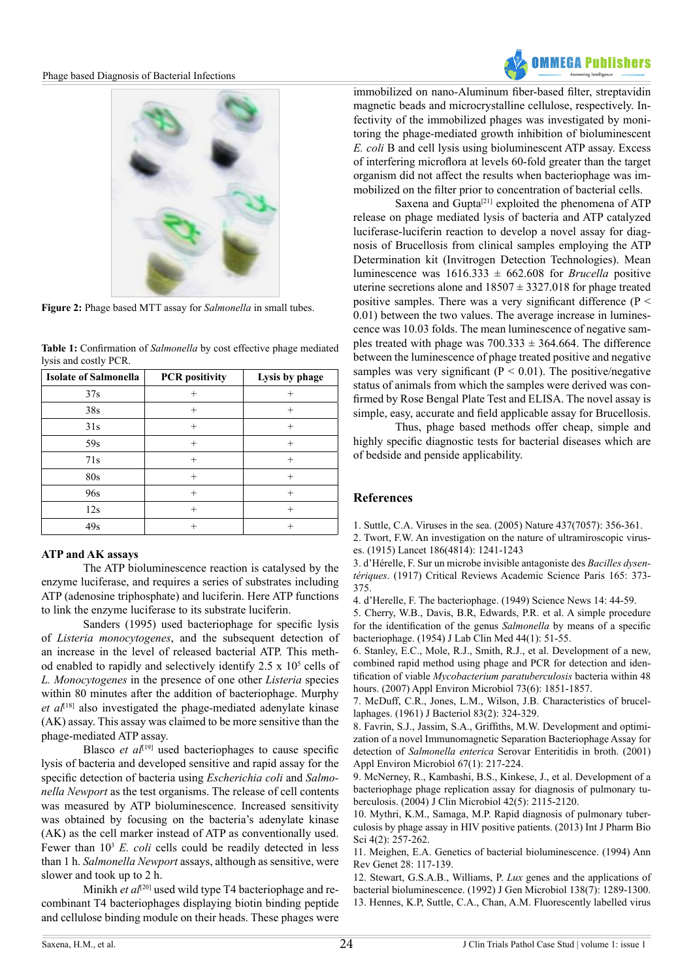

**Figure 2:** Phage based MTT assay for *Salmonella* in small tubes.

|  |  |                    | <b>Table 1:</b> Confirmation of <i>Salmonella</i> by cost effective phage mediated |  |          |  |  |  |  |  |
|--|--|--------------------|------------------------------------------------------------------------------------|--|----------|--|--|--|--|--|
|  |  |                    | lysis and costly PCR.                                                              |  |          |  |  |  |  |  |
|  |  | $\mathbf{r}$ , and |                                                                                    |  | $\cdots$ |  |  |  |  |  |

| <b>Isolate of Salmonella</b> | <b>PCR</b> positivity | Lysis by phage |
|------------------------------|-----------------------|----------------|
| 37s                          |                       |                |
| 38s                          | $^{+}$                | $^{+}$         |
| 31s                          | $^{+}$                | $^{+}$         |
| 59s                          | $^{+}$                | $^{+}$         |
| 71s                          | $^{+}$                | $^+$           |
| 80s                          | $^{+}$                | $^{+}$         |
| 96s                          | $^{+}$                | $^{+}$         |
| 12s                          | $^{+}$                | $^{+}$         |
| 49s                          | $^{+}$                | $^+$           |

## **ATP and AK assays**

The ATP bioluminescence reaction is catalysed by the enzyme luciferase, and requires a series of substrates including ATP (adenosine triphosphate) and luciferin. Here ATP functions to link the enzyme luciferase to its substrate luciferin.

Sanders (1995) used bacteriophage for specific lysis of *Listeria monocytogenes*, and the subsequent detection of an increase in the level of released bacterial ATP. This method enabled to rapidly and selectively identify  $2.5 \times 10^5$  cells of *L. Monocytogenes* in the presence of one other *Listeria* species within 80 minutes after the addition of bacteriophage. Murphy et al<sup>[\[18\]](#page-3-4)</sup> also investigated the phage-mediated adenylate kinase (AK) assay. This assay was claimed to be more sensitive than the phage-mediated ATP assay.

Blasco *et al*<sup>[19]</sup> used bacteriophages to cause specific lysis of bacteria and developed sensitive and rapid assay for the specific detection of bacteria using *Escherichia coli* and *Salmonella Newport* as the test organisms. The release of cell contents was measured by ATP bioluminescence. Increased sensitivity was obtained by focusing on the bacteria's adenylate kinase (AK) as the cell marker instead of ATP as conventionally used. Fewer than  $10^3$  *E. coli* cells could be readily detected in less than 1 h. *Salmonella Newport* assays, although as sensitive, were slower and took up to 2 h.

Minikh *et al*<sup>[\[20\]](#page-3-6)</sup> used wild type T4 bacteriophage and recombinant T4 bacteriophages displaying biotin binding peptide and cellulose binding module on their heads. These phages were



immobilized on nano-Aluminum fiber-based filter, streptavidin magnetic beads and microcrystalline cellulose, respectively. Infectivity of the immobilized phages was investigated by monitoring the phage-mediated growth inhibition of bioluminescent *E. coli* B and cell lysis using bioluminescent ATP assay. Excess of interfering microflora at levels 60-fold greater than the target organism did not affect the results when bacteriophage was immobilized on the filter prior to concentration of bacterial cells.

Saxena and Gupta<sup>[\[21\]](#page-3-7)</sup> exploited the phenomena of ATP release on phage mediated lysis of bacteria and ATP catalyzed luciferase-luciferin reaction to develop a novel assay for diagnosis of Brucellosis from clinical samples employing the ATP Determination kit (Invitrogen Detection Technologies). Mean luminescence was  $1616.333 \pm 662.608$  for *Brucella* positive uterine secretions alone and  $18507 \pm 3327.018$  for phage treated positive samples. There was a very significant difference ( $P \leq$ 0.01) between the two values. The average increase in luminescence was 10.03 folds. The mean luminescence of negative samples treated with phage was  $700.333 \pm 364.664$ . The difference between the luminescence of phage treated positive and negative samples was very significant ( $P < 0.01$ ). The positive/negative status of animals from which the samples were derived was confirmed by Rose Bengal Plate Test and ELISA. The novel assay is simple, easy, accurate and field applicable assay for Brucellosis.

Thus, phage based methods offer cheap, simple and highly specific diagnostic tests for bacterial diseases which are of bedside and penside applicability.

## **References**

<span id="page-2-0"></span>1[. Suttle, C.A. Viruses in the sea. \(2005\) Nature 437\(7057\): 356-361.](http://www.ncbi.nlm.nih.gov/pubmed/16163346)

<span id="page-2-1"></span>2. [Twort, F.W. An investigation on the nature of ultramiroscopic virus](http://www.thelancet.com/journals/lancet/article/PIIS0140-6736(01)20383-3/abstract)[es. \(1915\) Lancet 186\(4814\): 1241-1243](http://www.thelancet.com/journals/lancet/article/PIIS0140-6736(01)20383-3/abstract)

3. [d'Hérelle, F. Sur un microbe invisible antagoniste des](http://www.oalib.com/references/14062355) *Bacilles dysentériques*[. \(1917\) Critical Reviews Academic Science Paris 165: 373-](http://www.oalib.com/references/14062355) [375.](http://www.oalib.com/references/14062355)

<span id="page-2-2"></span>4. d'Herelle, F. The bacteriophage. (1949) Science News 14: 44-59.

<span id="page-2-3"></span>5. [Cherry, W.B., Davis, B.R, Edwards, P.R. et al. A simple procedure](http://www.ncbi.nlm.nih.gov/pubmed/13174921) [for the identification of the genus](http://www.ncbi.nlm.nih.gov/pubmed/13174921) *Salmonella* by means of a specific [bacteriophage. \(1954\) J Lab Clin Med 44\(1\): 51-55.](http://www.ncbi.nlm.nih.gov/pubmed/13174921)

<span id="page-2-4"></span>6. [Stanley, E.C., Mole, R.J., Smith, R.J., et al. Development of a new,](http://www.ncbi.nlm.nih.gov/pmc/articles/PMC1828794/) [combined rapid method using phage and PCR for detection and iden](http://www.ncbi.nlm.nih.gov/pmc/articles/PMC1828794/)tification of viable *[Mycobacterium paratuberculosis](http://www.ncbi.nlm.nih.gov/pmc/articles/PMC1828794/)* bacteria within 48 [hours. \(2007\) Appl Environ Microbiol 73\(6\): 1851-1857.](http://www.ncbi.nlm.nih.gov/pmc/articles/PMC1828794/)

<span id="page-2-5"></span>7. [McDuff, C.R., Jones, L.M., Wilson, J.B. Characteristics of brucel](http://www.ncbi.nlm.nih.gov/pubmed/16561929)[laphages. \(1961\) J Bacteriol 83\(2\): 324-329.](http://www.ncbi.nlm.nih.gov/pubmed/16561929)

<span id="page-2-6"></span>8. [Favrin, S.J., Jassim, S.A., Griffiths, M.W. Development and optimi](http://www.ncbi.nlm.nih.gov/pubmed/11133448)[zation of a novel Immunomagnetic Separation Bacteriophage Assay for](http://www.ncbi.nlm.nih.gov/pubmed/11133448) detection of *Salmonella enterica* [Serovar Enteritidis in broth. \(2001\)](http://www.ncbi.nlm.nih.gov/pubmed/11133448) [Appl Environ Microbiol 67\(1\): 217-224.](http://www.ncbi.nlm.nih.gov/pubmed/11133448)

<span id="page-2-7"></span>9. [McNerney, R., Kambashi, B.S., Kinkese, J., et al. Development of a](http://www.ncbi.nlm.nih.gov/pubmed/15131178) [bacteriophage phage replication assay for diagnosis of pulmonary tu](http://www.ncbi.nlm.nih.gov/pubmed/15131178)[berculosis. \(2004\) J Clin Microbiol 42\(5\): 2115-2120.](http://www.ncbi.nlm.nih.gov/pubmed/15131178)

<span id="page-2-8"></span>10. [Mythri, K.M., Samaga, M.P. Rapid diagnosis of pulmonary tuber](http://www.ijpbs.net/cms/php/upload/2251_pdf.pdf)[culosis by phage assay in HIV positive patients. \(2013\) Int J Pharm Bio](http://www.ijpbs.net/cms/php/upload/2251_pdf.pdf) [Sci 4\(2\): 257-262.](http://www.ijpbs.net/cms/php/upload/2251_pdf.pdf)

<span id="page-2-9"></span>11. [Meighen, E.A. Genetics of bacterial bioluminescence. \(1994\) Ann](http://www.ncbi.nlm.nih.gov/pubmed/7893120) [Rev Genet 28: 117-139.](http://www.ncbi.nlm.nih.gov/pubmed/7893120)

<span id="page-2-11"></span><span id="page-2-10"></span>12. [Stewart, G.S.A.B., Williams, P.](http://www.ncbi.nlm.nih.gov/pubmed/1512559) *Lux* genes and the applications of [bacterial bioluminescence. \(1992\) J Gen Microbiol 138\(7\): 1289-1300.](http://www.ncbi.nlm.nih.gov/pubmed/1512559) 13. [Hennes, K.P, Suttle, C.A., Chan, A.M. Fluorescently labelled virus](http://www.ncbi.nlm.nih.gov/pmc/articles/PMC1388708/)